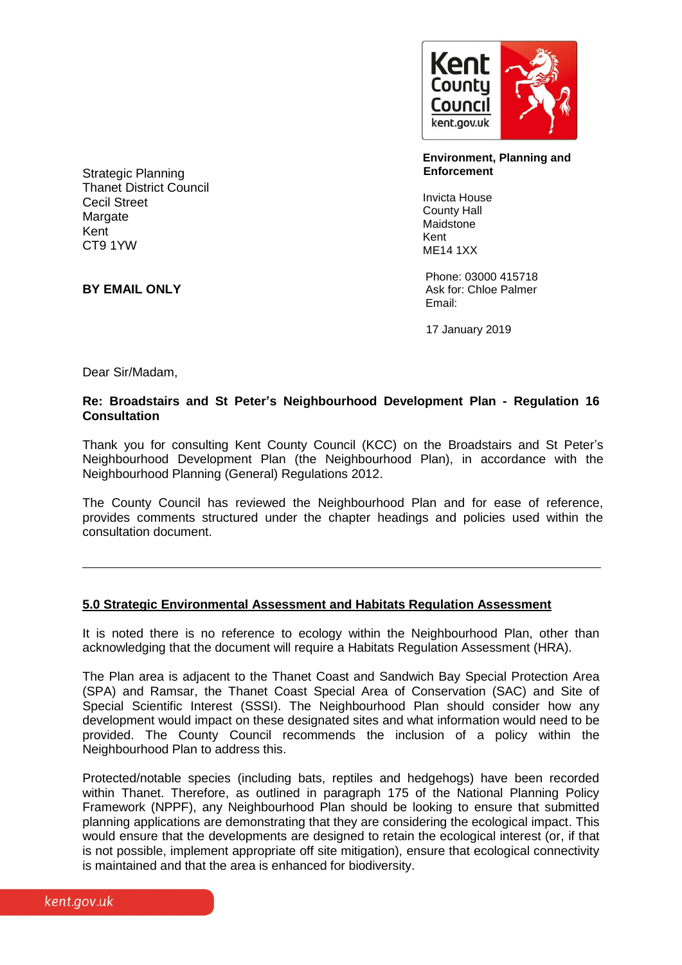

**Environment, Planning and Enforcement**

Invicta House County Hall Maidstone Kent ME14 1XX

Phone: 03000 415718 Ask for: Chloe Palmer Email:

17 January 2019

Strategic Planning Thanet District Council Cecil Street Margate Kent CT9 1YW

**BY EMAIL ONLY**

Dear Sir/Madam,

#### **Re: Broadstairs and St Peter's Neighbourhood Development Plan - Regulation 16 Consultation**

Thank you for consulting Kent County Council (KCC) on the Broadstairs and St Peter's Neighbourhood Development Plan (the Neighbourhood Plan), in accordance with the Neighbourhood Planning (General) Regulations 2012.

The County Council has reviewed the Neighbourhood Plan and for ease of reference, provides comments structured under the chapter headings and policies used within the consultation document.

## **5.0 Strategic Environmental Assessment and Habitats Regulation Assessment**

It is noted there is no reference to ecology within the Neighbourhood Plan, other than acknowledging that the document will require a Habitats Regulation Assessment (HRA).

The Plan area is adjacent to the Thanet Coast and Sandwich Bay Special Protection Area (SPA) and Ramsar, the Thanet Coast Special Area of Conservation (SAC) and Site of Special Scientific Interest (SSSI). The Neighbourhood Plan should consider how any development would impact on these designated sites and what information would need to be provided. The County Council recommends the inclusion of a policy within the Neighbourhood Plan to address this.

Protected/notable species (including bats, reptiles and hedgehogs) have been recorded within Thanet. Therefore, as outlined in paragraph 175 of the National Planning Policy Framework (NPPF), any Neighbourhood Plan should be looking to ensure that submitted planning applications are demonstrating that they are considering the ecological impact. This would ensure that the developments are designed to retain the ecological interest (or, if that is not possible, implement appropriate off site mitigation), ensure that ecological connectivity is maintained and that the area is enhanced for biodiversity.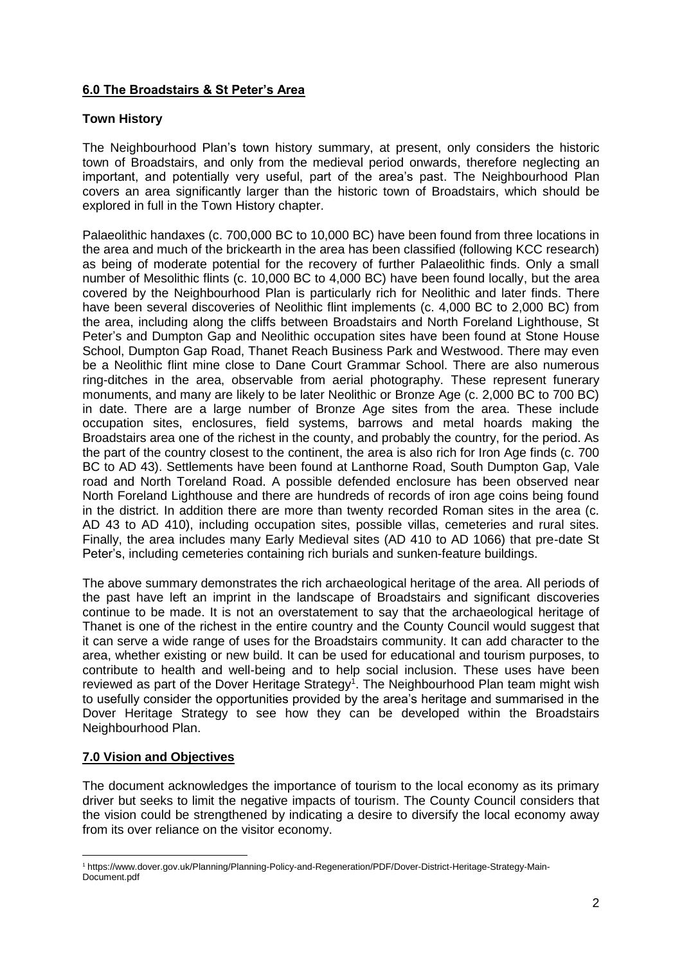# **6.0 The Broadstairs & St Peter's Area**

## **Town History**

The Neighbourhood Plan's town history summary, at present, only considers the historic town of Broadstairs, and only from the medieval period onwards, therefore neglecting an important, and potentially very useful, part of the area's past. The Neighbourhood Plan covers an area significantly larger than the historic town of Broadstairs, which should be explored in full in the Town History chapter.

Palaeolithic handaxes (c. 700,000 BC to 10,000 BC) have been found from three locations in the area and much of the brickearth in the area has been classified (following KCC research) as being of moderate potential for the recovery of further Palaeolithic finds. Only a small number of Mesolithic flints (c. 10,000 BC to 4,000 BC) have been found locally, but the area covered by the Neighbourhood Plan is particularly rich for Neolithic and later finds. There have been several discoveries of Neolithic flint implements (c. 4,000 BC to 2,000 BC) from the area, including along the cliffs between Broadstairs and North Foreland Lighthouse, St Peter's and Dumpton Gap and Neolithic occupation sites have been found at Stone House School, Dumpton Gap Road, Thanet Reach Business Park and Westwood. There may even be a Neolithic flint mine close to Dane Court Grammar School. There are also numerous ring-ditches in the area, observable from aerial photography. These represent funerary monuments, and many are likely to be later Neolithic or Bronze Age (c. 2,000 BC to 700 BC) in date. There are a large number of Bronze Age sites from the area. These include occupation sites, enclosures, field systems, barrows and metal hoards making the Broadstairs area one of the richest in the county, and probably the country, for the period. As the part of the country closest to the continent, the area is also rich for Iron Age finds (c. 700 BC to AD 43). Settlements have been found at Lanthorne Road, South Dumpton Gap, Vale road and North Toreland Road. A possible defended enclosure has been observed near North Foreland Lighthouse and there are hundreds of records of iron age coins being found in the district. In addition there are more than twenty recorded Roman sites in the area (c. AD 43 to AD 410), including occupation sites, possible villas, cemeteries and rural sites. Finally, the area includes many Early Medieval sites (AD 410 to AD 1066) that pre-date St Peter's, including cemeteries containing rich burials and sunken-feature buildings.

The above summary demonstrates the rich archaeological heritage of the area. All periods of the past have left an imprint in the landscape of Broadstairs and significant discoveries continue to be made. It is not an overstatement to say that the archaeological heritage of Thanet is one of the richest in the entire country and the County Council would suggest that it can serve a wide range of uses for the Broadstairs community. It can add character to the area, whether existing or new build. It can be used for educational and tourism purposes, to contribute to health and well-being and to help social inclusion. These uses have been reviewed as part of the Dover Heritage Strategy<sup>1</sup>. The Neighbourhood Plan team might wish to usefully consider the opportunities provided by the area's heritage and summarised in the Dover Heritage Strategy to see how they can be developed within the Broadstairs Neighbourhood Plan.

## **7.0 Vision and Objectives**

1

The document acknowledges the importance of tourism to the local economy as its primary driver but seeks to limit the negative impacts of tourism. The County Council considers that the vision could be strengthened by indicating a desire to diversify the local economy away from its over reliance on the visitor economy.

<sup>1</sup> https://www.dover.gov.uk/Planning/Planning-Policy-and-Regeneration/PDF/Dover-District-Heritage-Strategy-Main-Document.pdf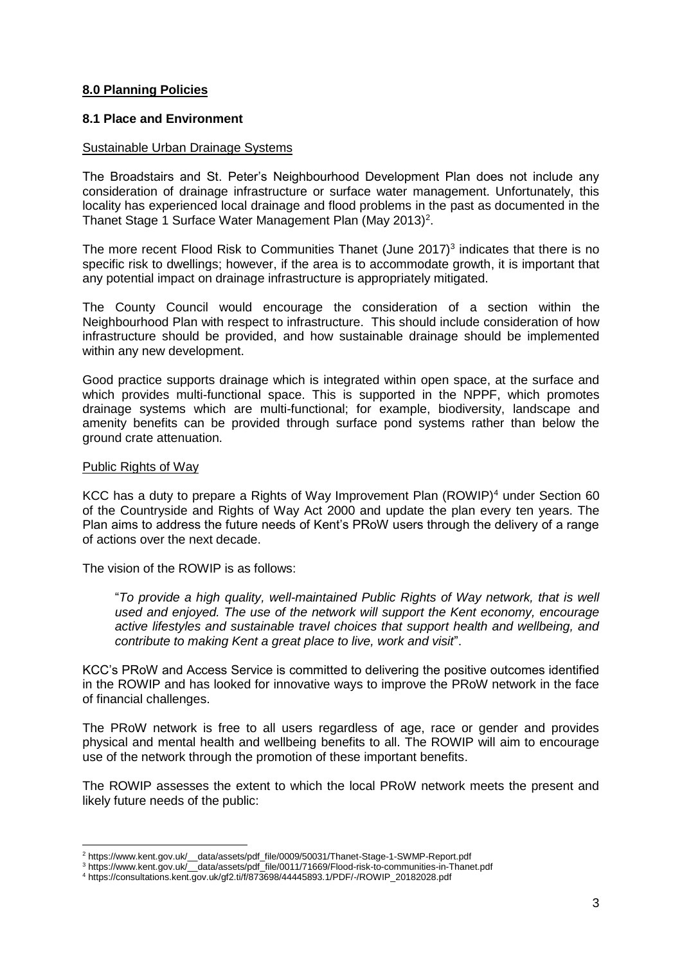#### **8.0 Planning Policies**

#### **8.1 Place and Environment**

#### Sustainable Urban Drainage Systems

The Broadstairs and St. Peter's Neighbourhood Development Plan does not include any consideration of drainage infrastructure or surface water management. Unfortunately, this locality has experienced local drainage and flood problems in the past as documented in the Thanet Stage 1 Surface Water Management Plan (May 2013)<sup>2</sup>.

The more recent Flood Risk to Communities Thanet (June 2017)<sup>3</sup> indicates that there is no specific risk to dwellings; however, if the area is to accommodate growth, it is important that any potential impact on drainage infrastructure is appropriately mitigated.

The County Council would encourage the consideration of a section within the Neighbourhood Plan with respect to infrastructure. This should include consideration of how infrastructure should be provided, and how sustainable drainage should be implemented within any new development.

Good practice supports drainage which is integrated within open space, at the surface and which provides multi-functional space. This is supported in the NPPF, which promotes drainage systems which are multi-functional; for example, biodiversity, landscape and amenity benefits can be provided through surface pond systems rather than below the ground crate attenuation.

#### Public Rights of Way

KCC has a duty to prepare a Rights of Way Improvement Plan (ROWIP)<sup>4</sup> under Section 60 of the Countryside and Rights of Way Act 2000 and update the plan every ten years. The Plan aims to address the future needs of Kent's PRoW users through the delivery of a range of actions over the next decade.

The vision of the ROWIP is as follows:

"*To provide a high quality, well-maintained Public Rights of Way network, that is well used and enjoyed. The use of the network will support the Kent economy, encourage active lifestyles and sustainable travel choices that support health and wellbeing, and contribute to making Kent a great place to live, work and visit*".

KCC's PRoW and Access Service is committed to delivering the positive outcomes identified in the ROWIP and has looked for innovative ways to improve the PRoW network in the face of financial challenges.

The PRoW network is free to all users regardless of age, race or gender and provides physical and mental health and wellbeing benefits to all. The ROWIP will aim to encourage use of the network through the promotion of these important benefits.

The ROWIP assesses the extent to which the local PRoW network meets the present and likely future needs of the public:

<sup>1</sup> <sup>2</sup> https://www.kent.gov.uk/\_\_data/assets/pdf\_file/0009/50031/Thanet-Stage-1-SWMP-Report.pdf

<sup>3</sup> https://www.kent.gov.uk/\_\_data/assets/pdf\_file/0011/71669/Flood-risk-to-communities-in-Thanet.pdf

<sup>4</sup> https://consultations.kent.gov.uk/gf2.ti/f/873698/44445893.1/PDF/-/ROWIP\_20182028.pdf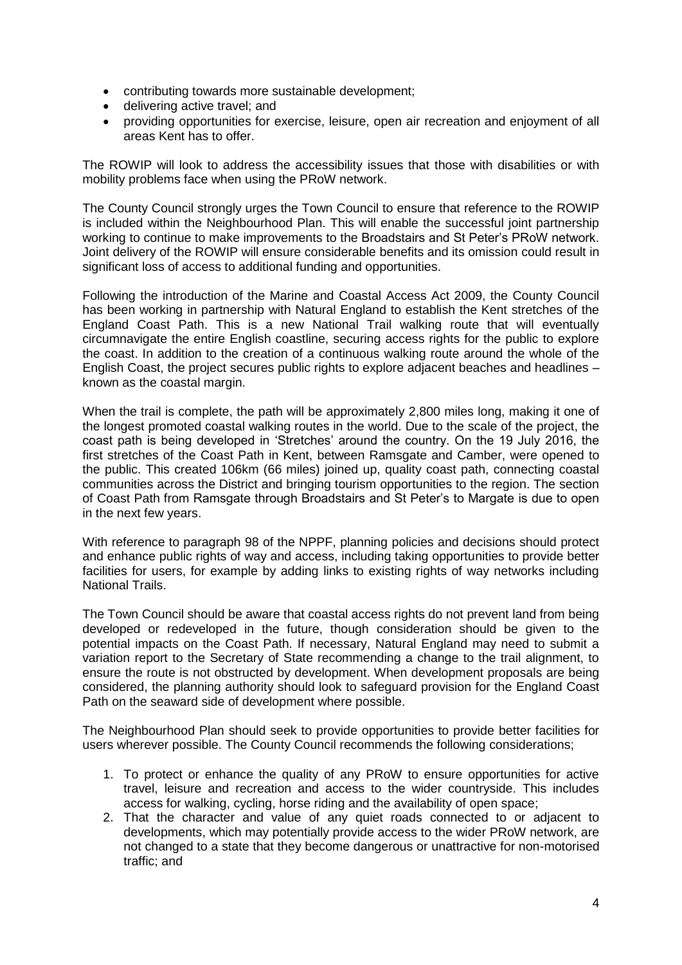- contributing towards more sustainable development;
- delivering active travel; and
- providing opportunities for exercise, leisure, open air recreation and enjoyment of all areas Kent has to offer.

The ROWIP will look to address the accessibility issues that those with disabilities or with mobility problems face when using the PRoW network.

The County Council strongly urges the Town Council to ensure that reference to the ROWIP is included within the Neighbourhood Plan. This will enable the successful joint partnership working to continue to make improvements to the Broadstairs and St Peter's PRoW network. Joint delivery of the ROWIP will ensure considerable benefits and its omission could result in significant loss of access to additional funding and opportunities.

Following the introduction of the Marine and Coastal Access Act 2009, the County Council has been working in partnership with Natural England to establish the Kent stretches of the England Coast Path. This is a new National Trail walking route that will eventually circumnavigate the entire English coastline, securing access rights for the public to explore the coast. In addition to the creation of a continuous walking route around the whole of the English Coast, the project secures public rights to explore adjacent beaches and headlines – known as the coastal margin.

When the trail is complete, the path will be approximately 2,800 miles long, making it one of the longest promoted coastal walking routes in the world. Due to the scale of the project, the coast path is being developed in 'Stretches' around the country. On the 19 July 2016, the first stretches of the Coast Path in Kent, between Ramsgate and Camber, were opened to the public. This created 106km (66 miles) joined up, quality coast path, connecting coastal communities across the District and bringing tourism opportunities to the region. The section of Coast Path from Ramsgate through Broadstairs and St Peter's to Margate is due to open in the next few years.

With reference to paragraph 98 of the NPPF, planning policies and decisions should protect and enhance public rights of way and access, including taking opportunities to provide better facilities for users, for example by adding links to existing rights of way networks including National Trails.

The Town Council should be aware that coastal access rights do not prevent land from being developed or redeveloped in the future, though consideration should be given to the potential impacts on the Coast Path. If necessary, Natural England may need to submit a variation report to the Secretary of State recommending a change to the trail alignment, to ensure the route is not obstructed by development. When development proposals are being considered, the planning authority should look to safeguard provision for the England Coast Path on the seaward side of development where possible.

The Neighbourhood Plan should seek to provide opportunities to provide better facilities for users wherever possible. The County Council recommends the following considerations;

- 1. To protect or enhance the quality of any PRoW to ensure opportunities for active travel, leisure and recreation and access to the wider countryside. This includes access for walking, cycling, horse riding and the availability of open space;
- 2. That the character and value of any quiet roads connected to or adjacent to developments, which may potentially provide access to the wider PRoW network, are not changed to a state that they become dangerous or unattractive for non-motorised traffic; and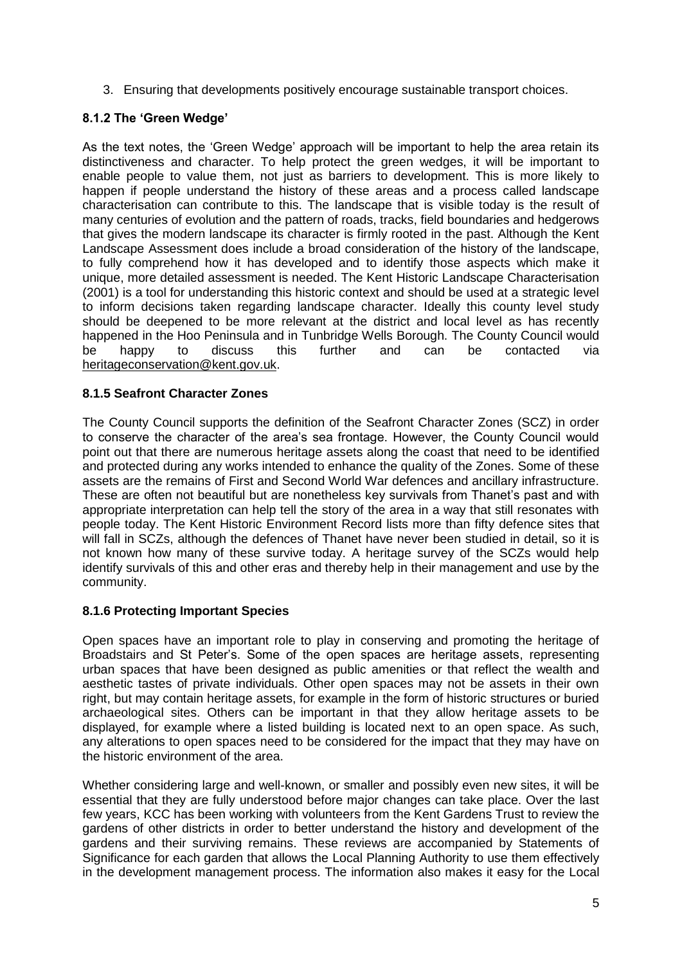3. Ensuring that developments positively encourage sustainable transport choices.

# **8.1.2 The 'Green Wedge'**

As the text notes, the 'Green Wedge' approach will be important to help the area retain its distinctiveness and character. To help protect the green wedges, it will be important to enable people to value them, not just as barriers to development. This is more likely to happen if people understand the history of these areas and a process called landscape characterisation can contribute to this. The landscape that is visible today is the result of many centuries of evolution and the pattern of roads, tracks, field boundaries and hedgerows that gives the modern landscape its character is firmly rooted in the past. Although the Kent Landscape Assessment does include a broad consideration of the history of the landscape, to fully comprehend how it has developed and to identify those aspects which make it unique, more detailed assessment is needed. The Kent Historic Landscape Characterisation (2001) is a tool for understanding this historic context and should be used at a strategic level to inform decisions taken regarding landscape character. Ideally this county level study should be deepened to be more relevant at the district and local level as has recently happened in the Hoo Peninsula and in Tunbridge Wells Borough. The County Council would be happy to discuss this further and can be contacted via [heritageconservation@kent.gov.uk.](mailto:heritageconservation@kent.gov.uk)

# **8.1.5 Seafront Character Zones**

The County Council supports the definition of the Seafront Character Zones (SCZ) in order to conserve the character of the area's sea frontage. However, the County Council would point out that there are numerous heritage assets along the coast that need to be identified and protected during any works intended to enhance the quality of the Zones. Some of these assets are the remains of First and Second World War defences and ancillary infrastructure. These are often not beautiful but are nonetheless key survivals from Thanet's past and with appropriate interpretation can help tell the story of the area in a way that still resonates with people today. The Kent Historic Environment Record lists more than fifty defence sites that will fall in SCZs, although the defences of Thanet have never been studied in detail, so it is not known how many of these survive today. A heritage survey of the SCZs would help identify survivals of this and other eras and thereby help in their management and use by the community.

# **8.1.6 Protecting Important Species**

Open spaces have an important role to play in conserving and promoting the heritage of Broadstairs and St Peter's. Some of the open spaces are heritage assets, representing urban spaces that have been designed as public amenities or that reflect the wealth and aesthetic tastes of private individuals. Other open spaces may not be assets in their own right, but may contain heritage assets, for example in the form of historic structures or buried archaeological sites. Others can be important in that they allow heritage assets to be displayed, for example where a listed building is located next to an open space. As such, any alterations to open spaces need to be considered for the impact that they may have on the historic environment of the area.

Whether considering large and well-known, or smaller and possibly even new sites, it will be essential that they are fully understood before major changes can take place. Over the last few years, KCC has been working with volunteers from the Kent Gardens Trust to review the gardens of other districts in order to better understand the history and development of the gardens and their surviving remains. These reviews are accompanied by Statements of Significance for each garden that allows the Local Planning Authority to use them effectively in the development management process. The information also makes it easy for the Local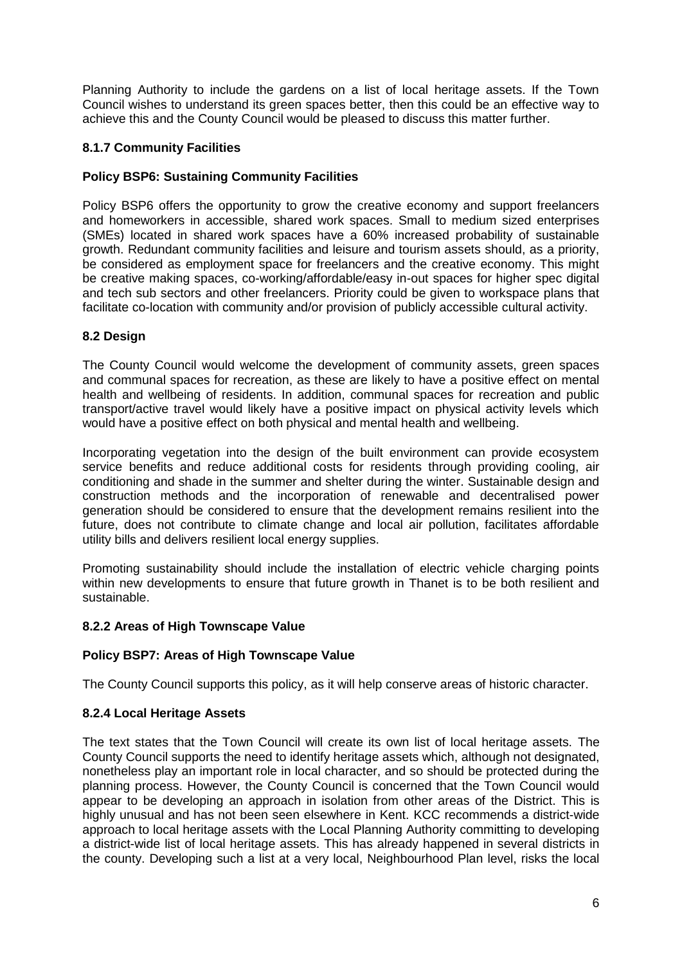Planning Authority to include the gardens on a list of local heritage assets. If the Town Council wishes to understand its green spaces better, then this could be an effective way to achieve this and the County Council would be pleased to discuss this matter further.

# **8.1.7 Community Facilities**

## **Policy BSP6: Sustaining Community Facilities**

Policy BSP6 offers the opportunity to grow the creative economy and support freelancers and homeworkers in accessible, shared work spaces. Small to medium sized enterprises (SMEs) located in shared work spaces have a 60% increased probability of sustainable growth. Redundant community facilities and leisure and tourism assets should, as a priority, be considered as employment space for freelancers and the creative economy. This might be creative making spaces, co-working/affordable/easy in-out spaces for higher spec digital and tech sub sectors and other freelancers. Priority could be given to workspace plans that facilitate co-location with community and/or provision of publicly accessible cultural activity.

# **8.2 Design**

The County Council would welcome the development of community assets, green spaces and communal spaces for recreation, as these are likely to have a positive effect on mental health and wellbeing of residents. In addition, communal spaces for recreation and public transport/active travel would likely have a positive impact on physical activity levels which would have a positive effect on both physical and mental health and wellbeing.

Incorporating vegetation into the design of the built environment can provide ecosystem service benefits and reduce additional costs for residents through providing cooling, air conditioning and shade in the summer and shelter during the winter. Sustainable design and construction methods and the incorporation of renewable and decentralised power generation should be considered to ensure that the development remains resilient into the future, does not contribute to climate change and local air pollution, facilitates affordable utility bills and delivers resilient local energy supplies.

Promoting sustainability should include the installation of electric vehicle charging points within new developments to ensure that future growth in Thanet is to be both resilient and sustainable.

## **8.2.2 Areas of High Townscape Value**

## **Policy BSP7: Areas of High Townscape Value**

The County Council supports this policy, as it will help conserve areas of historic character.

## **8.2.4 Local Heritage Assets**

The text states that the Town Council will create its own list of local heritage assets. The County Council supports the need to identify heritage assets which, although not designated, nonetheless play an important role in local character, and so should be protected during the planning process. However, the County Council is concerned that the Town Council would appear to be developing an approach in isolation from other areas of the District. This is highly unusual and has not been seen elsewhere in Kent. KCC recommends a district-wide approach to local heritage assets with the Local Planning Authority committing to developing a district-wide list of local heritage assets. This has already happened in several districts in the county. Developing such a list at a very local, Neighbourhood Plan level, risks the local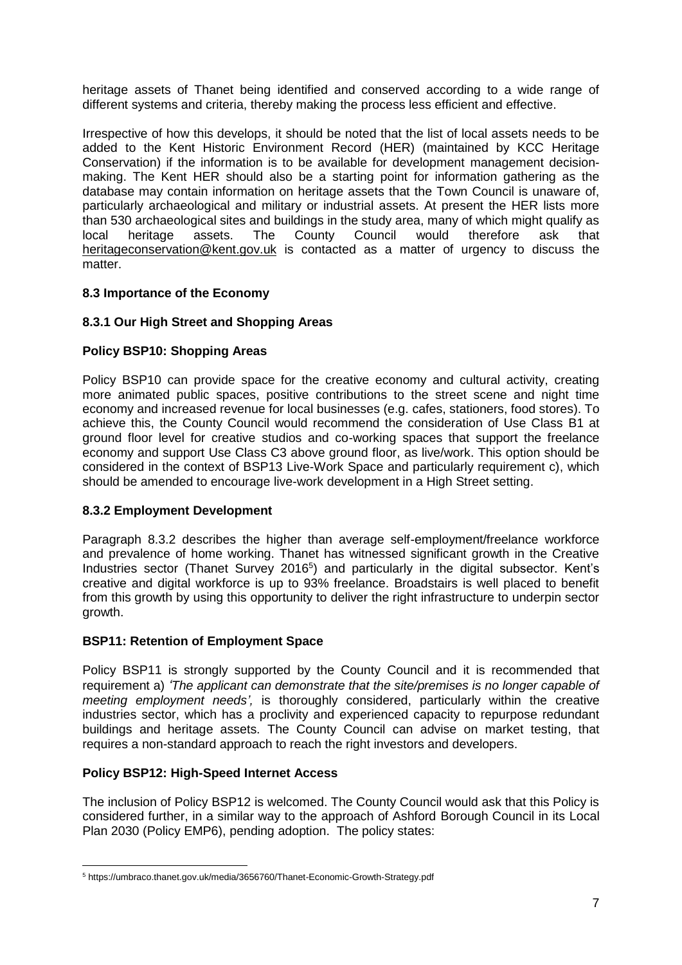heritage assets of Thanet being identified and conserved according to a wide range of different systems and criteria, thereby making the process less efficient and effective.

Irrespective of how this develops, it should be noted that the list of local assets needs to be added to the Kent Historic Environment Record (HER) (maintained by KCC Heritage Conservation) if the information is to be available for development management decisionmaking. The Kent HER should also be a starting point for information gathering as the database may contain information on heritage assets that the Town Council is unaware of, particularly archaeological and military or industrial assets. At present the HER lists more than 530 archaeological sites and buildings in the study area, many of which might qualify as local heritage assets. The County Council would therefore ask that [heritageconservation@kent.gov.uk](mailto:heritageconservation@kent.gov.uk) is contacted as a matter of urgency to discuss the matter.

# **8.3 Importance of the Economy**

# **8.3.1 Our High Street and Shopping Areas**

## **Policy BSP10: Shopping Areas**

Policy BSP10 can provide space for the creative economy and cultural activity, creating more animated public spaces, positive contributions to the street scene and night time economy and increased revenue for local businesses (e.g. cafes, stationers, food stores). To achieve this, the County Council would recommend the consideration of Use Class B1 at ground floor level for creative studios and co-working spaces that support the freelance economy and support Use Class C3 above ground floor, as live/work. This option should be considered in the context of BSP13 Live-Work Space and particularly requirement c), which should be amended to encourage live-work development in a High Street setting.

## **8.3.2 Employment Development**

Paragraph 8.3.2 describes the higher than average self-employment/freelance workforce and prevalence of home working. Thanet has witnessed significant growth in the Creative Industries sector (Thanet Survey 2016<sup>5</sup>) and particularly in the digital subsector. Kent's creative and digital workforce is up to 93% freelance. Broadstairs is well placed to benefit from this growth by using this opportunity to deliver the right infrastructure to underpin sector growth.

## **BSP11: Retention of Employment Space**

Policy BSP11 is strongly supported by the County Council and it is recommended that requirement a) *'The applicant can demonstrate that the site/premises is no longer capable of meeting employment needs',* is thoroughly considered, particularly within the creative industries sector, which has a proclivity and experienced capacity to repurpose redundant buildings and heritage assets. The County Council can advise on market testing, that requires a non-standard approach to reach the right investors and developers.

## **Policy BSP12: High-Speed Internet Access**

The inclusion of Policy BSP12 is welcomed. The County Council would ask that this Policy is considered further, in a similar way to the approach of Ashford Borough Council in its Local Plan 2030 (Policy EMP6), pending adoption. The policy states:

<sup>1</sup> <sup>5</sup> https://umbraco.thanet.gov.uk/media/3656760/Thanet-Economic-Growth-Strategy.pdf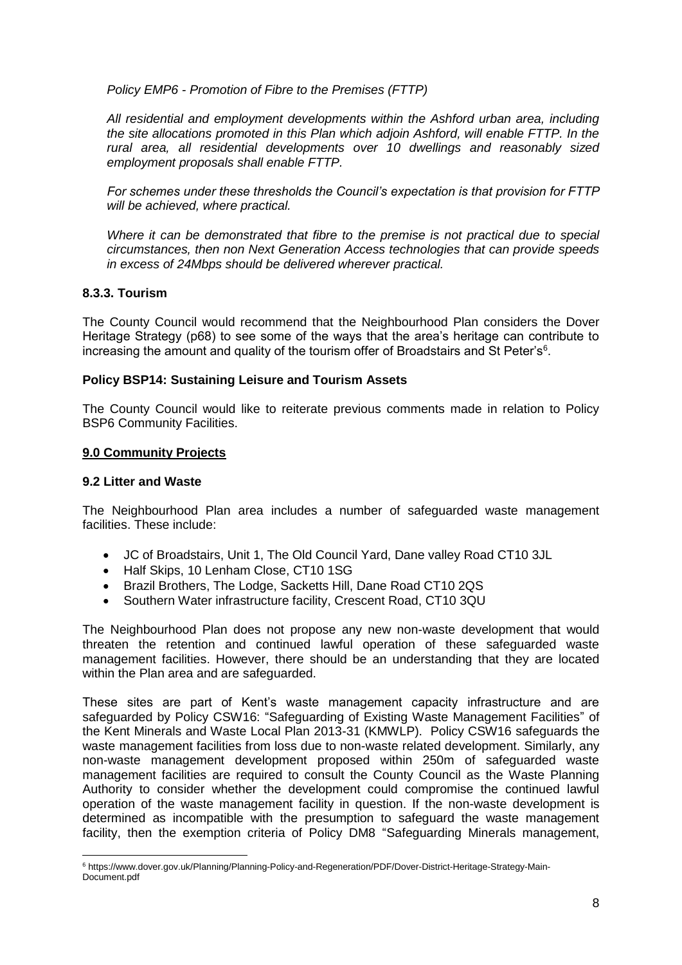*Policy EMP6 - Promotion of Fibre to the Premises (FTTP)*

*All residential and employment developments within the Ashford urban area, including the site allocations promoted in this Plan which adjoin Ashford, will enable FTTP. In the rural area, all residential developments over 10 dwellings and reasonably sized employment proposals shall enable FTTP.*

*For schemes under these thresholds the Council's expectation is that provision for FTTP will be achieved, where practical.*

*Where it can be demonstrated that fibre to the premise is not practical due to special circumstances, then non Next Generation Access technologies that can provide speeds in excess of 24Mbps should be delivered wherever practical.*

## **8.3.3. Tourism**

The County Council would recommend that the Neighbourhood Plan considers the Dover Heritage Strategy (p68) to see some of the ways that the area's heritage can contribute to increasing the amount and quality of the tourism offer of Broadstairs and St Peter's $<sup>6</sup>$ .</sup>

#### **Policy BSP14: Sustaining Leisure and Tourism Assets**

The County Council would like to reiterate previous comments made in relation to Policy BSP6 Community Facilities.

#### **9.0 Community Projects**

#### **9.2 Litter and Waste**

1

The Neighbourhood Plan area includes a number of safeguarded waste management facilities. These include:

- JC of Broadstairs, Unit 1, The Old Council Yard, Dane valley Road CT10 3JL
- Half Skips, 10 Lenham Close, CT10 1SG
- Brazil Brothers, The Lodge, Sacketts Hill, Dane Road CT10 2QS
- Southern Water infrastructure facility, Crescent Road, CT10 3QU

The Neighbourhood Plan does not propose any new non-waste development that would threaten the retention and continued lawful operation of these safeguarded waste management facilities. However, there should be an understanding that they are located within the Plan area and are safeguarded.

These sites are part of Kent's waste management capacity infrastructure and are safeguarded by Policy CSW16: "Safeguarding of Existing Waste Management Facilities" of the Kent Minerals and Waste Local Plan 2013-31 (KMWLP). Policy CSW16 safeguards the waste management facilities from loss due to non-waste related development. Similarly, any non-waste management development proposed within 250m of safeguarded waste management facilities are required to consult the County Council as the Waste Planning Authority to consider whether the development could compromise the continued lawful operation of the waste management facility in question. If the non-waste development is determined as incompatible with the presumption to safeguard the waste management facility, then the exemption criteria of Policy DM8 "Safeguarding Minerals management,

<sup>6</sup> https://www.dover.gov.uk/Planning/Planning-Policy-and-Regeneration/PDF/Dover-District-Heritage-Strategy-Main-Document.pdf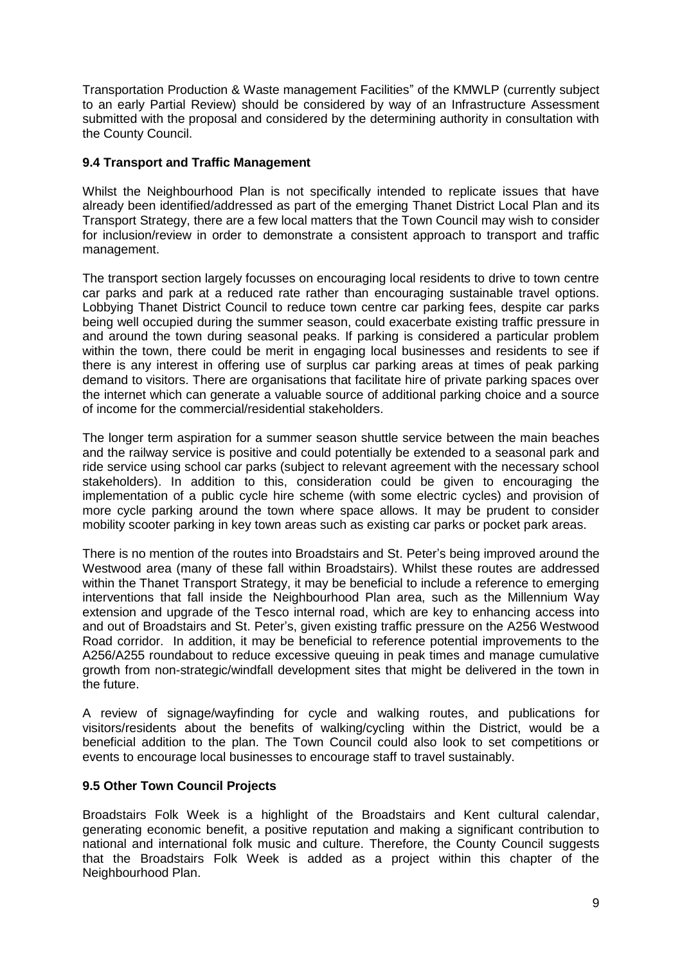Transportation Production & Waste management Facilities" of the KMWLP (currently subject to an early Partial Review) should be considered by way of an Infrastructure Assessment submitted with the proposal and considered by the determining authority in consultation with the County Council.

## **9.4 Transport and Traffic Management**

Whilst the Neighbourhood Plan is not specifically intended to replicate issues that have already been identified/addressed as part of the emerging Thanet District Local Plan and its Transport Strategy, there are a few local matters that the Town Council may wish to consider for inclusion/review in order to demonstrate a consistent approach to transport and traffic management.

The transport section largely focusses on encouraging local residents to drive to town centre car parks and park at a reduced rate rather than encouraging sustainable travel options. Lobbying Thanet District Council to reduce town centre car parking fees, despite car parks being well occupied during the summer season, could exacerbate existing traffic pressure in and around the town during seasonal peaks. If parking is considered a particular problem within the town, there could be merit in engaging local businesses and residents to see if there is any interest in offering use of surplus car parking areas at times of peak parking demand to visitors. There are organisations that facilitate hire of private parking spaces over the internet which can generate a valuable source of additional parking choice and a source of income for the commercial/residential stakeholders.

The longer term aspiration for a summer season shuttle service between the main beaches and the railway service is positive and could potentially be extended to a seasonal park and ride service using school car parks (subject to relevant agreement with the necessary school stakeholders). In addition to this, consideration could be given to encouraging the implementation of a public cycle hire scheme (with some electric cycles) and provision of more cycle parking around the town where space allows. It may be prudent to consider mobility scooter parking in key town areas such as existing car parks or pocket park areas.

There is no mention of the routes into Broadstairs and St. Peter's being improved around the Westwood area (many of these fall within Broadstairs). Whilst these routes are addressed within the Thanet Transport Strategy, it may be beneficial to include a reference to emerging interventions that fall inside the Neighbourhood Plan area, such as the Millennium Way extension and upgrade of the Tesco internal road, which are key to enhancing access into and out of Broadstairs and St. Peter's, given existing traffic pressure on the A256 Westwood Road corridor. In addition, it may be beneficial to reference potential improvements to the A256/A255 roundabout to reduce excessive queuing in peak times and manage cumulative growth from non-strategic/windfall development sites that might be delivered in the town in the future.

A review of signage/wayfinding for cycle and walking routes, and publications for visitors/residents about the benefits of walking/cycling within the District, would be a beneficial addition to the plan. The Town Council could also look to set competitions or events to encourage local businesses to encourage staff to travel sustainably.

# **9.5 Other Town Council Projects**

Broadstairs Folk Week is a highlight of the Broadstairs and Kent cultural calendar, generating economic benefit, a positive reputation and making a significant contribution to national and international folk music and culture. Therefore, the County Council suggests that the Broadstairs Folk Week is added as a project within this chapter of the Neighbourhood Plan.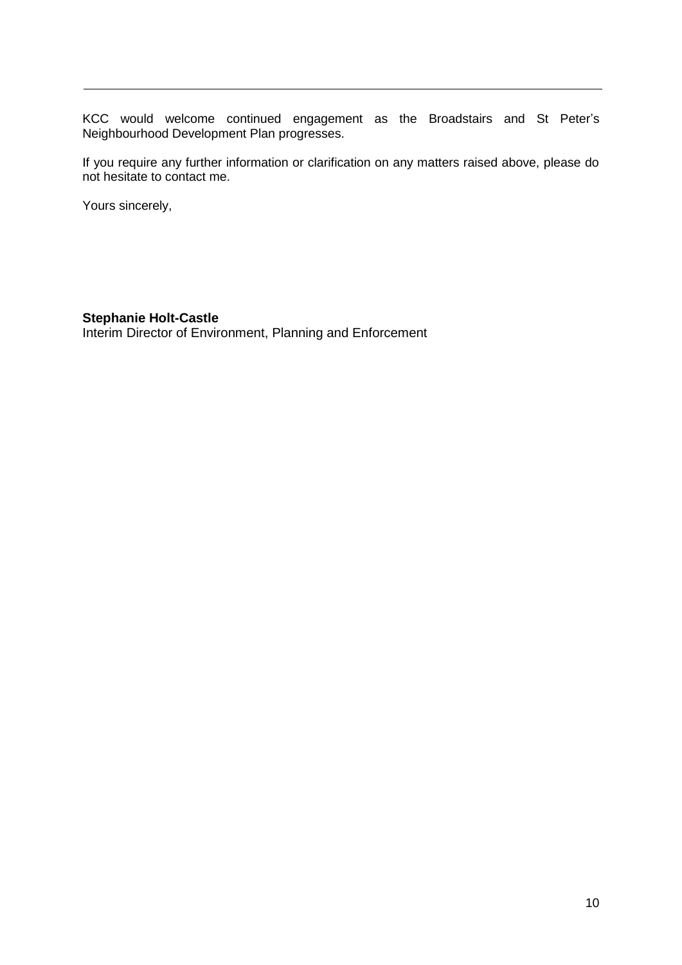KCC would welcome continued engagement as the Broadstairs and St Peter's Neighbourhood Development Plan progresses.

If you require any further information or clarification on any matters raised above, please do not hesitate to contact me.

Yours sincerely,

# **Stephanie Holt-Castle**

Interim Director of Environment, Planning and Enforcement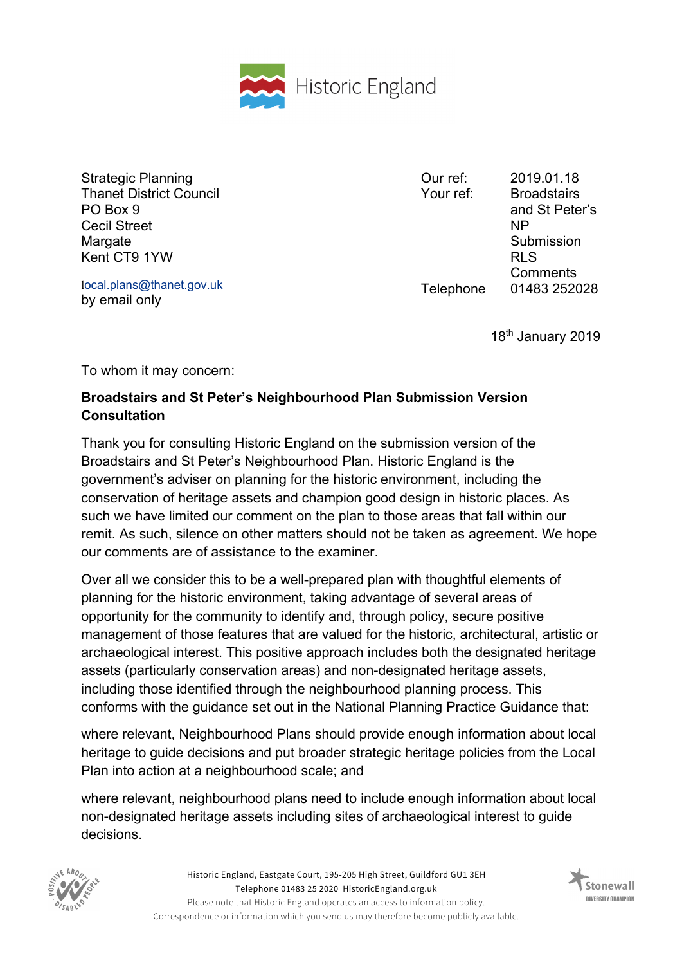

Strategic Planning Thanet District Council PO Box 9 Cecil Street Margate Kent CT9 1YW

l[ocal.plans@thanet.gov.uk](mailto:local.plans@thanet.gov.uk) by email only

Our ref: Your ref: Telephone 2019.01.18 **Broadstairs** and St Peter's NP **Submission** RLS **Comments** 01483 252028

18th January 2019

To whom it may concern:

# **Broadstairs and St Peter's Neighbourhood Plan Submission Version Consultation**

Thank you for consulting Historic England on the submission version of the Broadstairs and St Peter's Neighbourhood Plan. Historic England is the government's adviser on planning for the historic environment, including the conservation of heritage assets and champion good design in historic places. As such we have limited our comment on the plan to those areas that fall within our remit. As such, silence on other matters should not be taken as agreement. We hope our comments are of assistance to the examiner.

Over all we consider this to be a well-prepared plan with thoughtful elements of planning for the historic environment, taking advantage of several areas of opportunity for the community to identify and, through policy, secure positive management of those features that are valued for the historic, architectural, artistic or archaeological interest. This positive approach includes both the designated heritage assets (particularly conservation areas) and non-designated heritage assets, including those identified through the neighbourhood planning process. This conforms with the guidance set out in the National Planning Practice Guidance that:

where relevant, Neighbourhood Plans should provide enough information about local heritage to guide decisions and put broader strategic heritage policies from the Local Plan into action at a neighbourhood scale; and

where relevant, neighbourhood plans need to include enough information about local non-designated heritage assets including sites of archaeological interest to guide decisions.



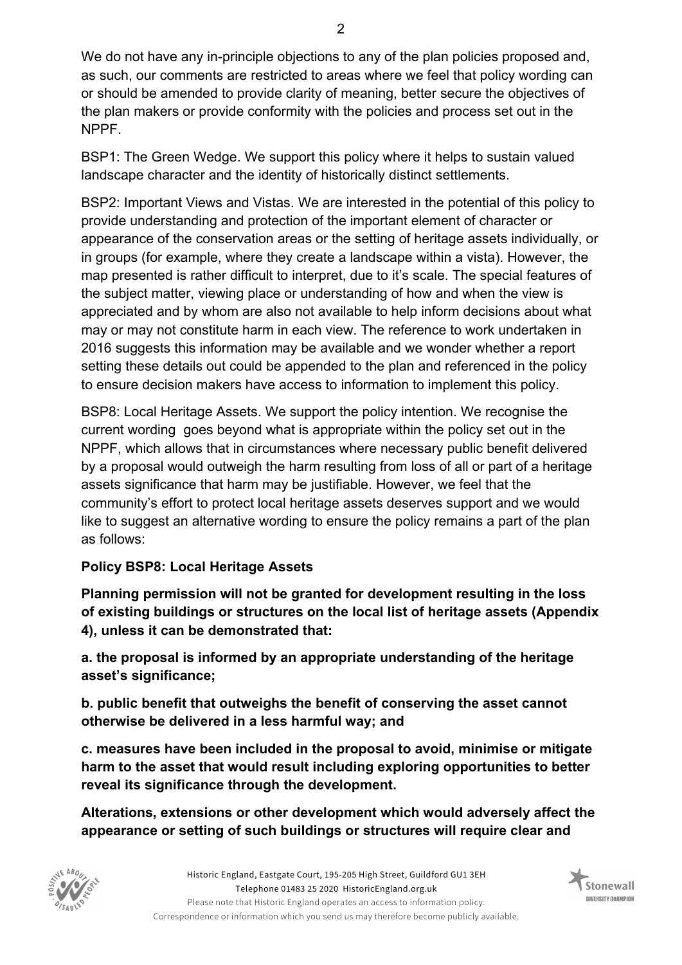We do not have any in-principle objections to any of the plan policies proposed and, as such, our comments are restricted to areas where we feel that policy wording can or should be amended to provide clarity of meaning, better secure the objectives of the plan makers or provide conformity with the policies and process set out in the NPPF.

BSP1: The Green Wedge. We support this policy where it helps to sustain valued landscape character and the identity of historically distinct settlements.

BSP2: Important Views and Vistas. We are interested in the potential of this policy to provide understanding and protection of the important element of character or appearance of the conservation areas or the setting of heritage assets individually, or in groups (for example, where they create a landscape within a vista). However, the map presented is rather difficult to interpret, due to it's scale. The special features of the subject matter, viewing place or understanding of how and when the view is appreciated and by whom are also not available to help inform decisions about what may or may not constitute harm in each view. The reference to work undertaken in 2016 suggests this information may be available and we wonder whether a report setting these details out could be appended to the plan and referenced in the policy to ensure decision makers have access to information to implement this policy.

BSP8: Local Heritage Assets. We support the policy intention. We recognise the current wording goes beyond what is appropriate within the policy set out in the NPPF, which allows that in circumstances where necessary public benefit delivered by a proposal would outweigh the harm resulting from loss of all or part of a heritage assets significance that harm may be justifiable. However, we feel that the community's effort to protect local heritage assets deserves support and we would like to suggest an alternative wording to ensure the policy remains a part of the plan as follows:

# **Policy BSP8: Local Heritage Assets**

**Planning permission will not be granted for development resulting in the loss of existing buildings or structures on the local list of heritage assets (Appendix 4), unless it can be demonstrated that:**

**a. the proposal is informed by an appropriate understanding of the heritage asset's significance;**

**b. public benefit that outweighs the benefit of conserving the asset cannot otherwise be delivered in a less harmful way; and**

**c. measures have been included in the proposal to avoid, minimise or mitigate harm to the asset that would result including exploring opportunities to better reveal its significance through the development.**

**Alterations, extensions or other development which would adversely affect the appearance or setting of such buildings or structures will require clear and** 



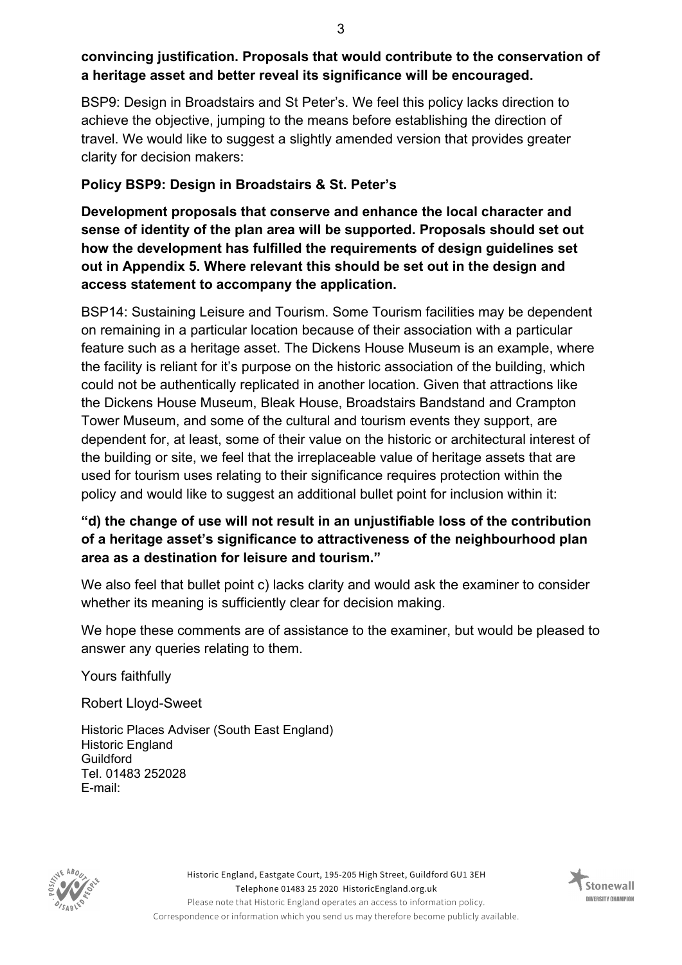# **convincing justification. Proposals that would contribute to the conservation of a heritage asset and better reveal its significance will be encouraged.**

BSP9: Design in Broadstairs and St Peter's. We feel this policy lacks direction to achieve the objective, jumping to the means before establishing the direction of travel. We would like to suggest a slightly amended version that provides greater clarity for decision makers:

# **Policy BSP9: Design in Broadstairs & St. Peter's**

**Development proposals that conserve and enhance the local character and sense of identity of the plan area will be supported. Proposals should set out how the development has fulfilled the requirements of design guidelines set out in Appendix 5. Where relevant this should be set out in the design and access statement to accompany the application.**

BSP14: Sustaining Leisure and Tourism. Some Tourism facilities may be dependent on remaining in a particular location because of their association with a particular feature such as a heritage asset. The Dickens House Museum is an example, where the facility is reliant for it's purpose on the historic association of the building, which could not be authentically replicated in another location. Given that attractions like the Dickens House Museum, Bleak House, Broadstairs Bandstand and Crampton Tower Museum, and some of the cultural and tourism events they support, are dependent for, at least, some of their value on the historic or architectural interest of the building or site, we feel that the irreplaceable value of heritage assets that are used for tourism uses relating to their significance requires protection within the policy and would like to suggest an additional bullet point for inclusion within it:

# **"d) the change of use will not result in an unjustifiable loss of the contribution of a heritage asset's significance to attractiveness of the neighbourhood plan area as a destination for leisure and tourism."**

We also feel that bullet point c) lacks clarity and would ask the examiner to consider whether its meaning is sufficiently clear for decision making.

We hope these comments are of assistance to the examiner, but would be pleased to answer any queries relating to them.

Yours faithfully

Robert Lloyd-Sweet

Historic Places Adviser (South East England) Historic England Guildford Tel. 01483 252028 E-mail:



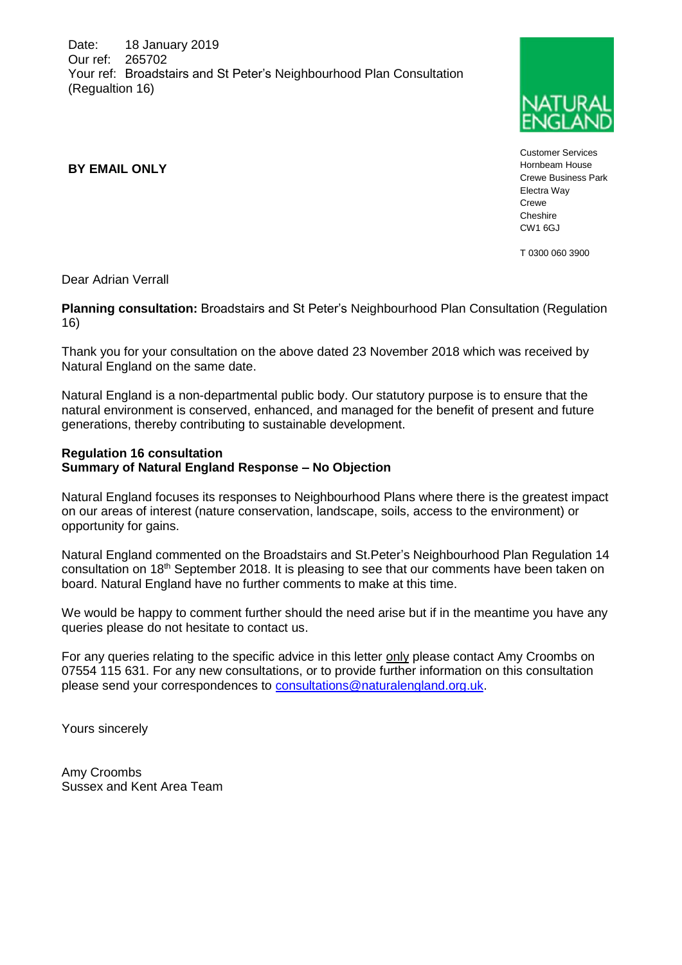Date: 18 January 2019 Our ref: 265702 Your ref: Broadstairs and St Peter's Neighbourhood Plan Consultation (Regualtion 16)



Customer Services Hornbeam House Crewe Business Park Electra Way Crewe Cheshire CW1 6GJ

T 0300 060 3900

Dear Adrian Verrall

**BY EMAIL ONLY**

**Planning consultation:** Broadstairs and St Peter's Neighbourhood Plan Consultation (Regulation 16)

Thank you for your consultation on the above dated 23 November 2018 which was received by Natural England on the same date.

Natural England is a non-departmental public body. Our statutory purpose is to ensure that the natural environment is conserved, enhanced, and managed for the benefit of present and future generations, thereby contributing to sustainable development.

#### **Regulation 16 consultation Summary of Natural England Response – No Objection**

Natural England focuses its responses to Neighbourhood Plans where there is the greatest impact on our areas of interest (nature conservation, landscape, soils, access to the environment) or opportunity for gains.

Natural England commented on the Broadstairs and St.Peter's Neighbourhood Plan Regulation 14 consultation on 18<sup>th</sup> September 2018. It is pleasing to see that our comments have been taken on board. Natural England have no further comments to make at this time.

We would be happy to comment further should the need arise but if in the meantime you have any queries please do not hesitate to contact us.

For any queries relating to the specific advice in this letter only please contact Amy Croombs on 07554 115 631. For any new consultations, or to provide further information on this consultation please send your correspondences to [consultations@naturalengland.org.uk.](mailto:consultations@naturalengland.org.uk)

Yours sincerely

Amy Croombs Sussex and Kent Area Team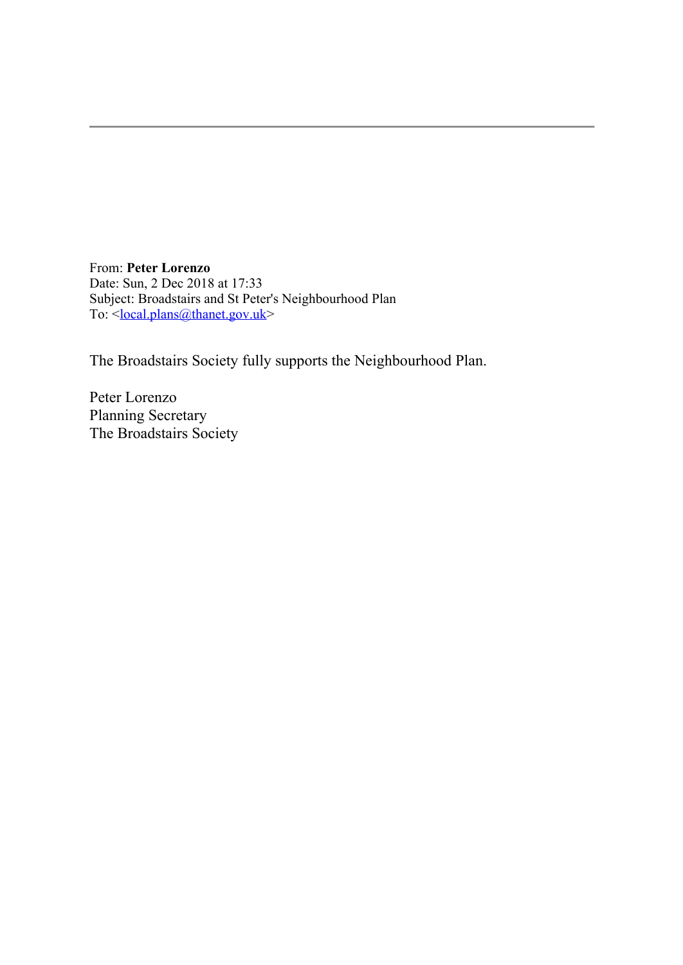From: **Peter Lorenzo** Date: Sun, 2 Dec 2018 at 17:33 Subject: Broadstairs and St Peter's Neighbourhood Plan To: [<local.plans@thanet.gov.uk](mailto:local.plans@thanet.gov.uk)>

The Broadstairs Society fully supports the Neighbourhood Plan.

Peter Lorenzo Planning Secretary The Broadstairs Society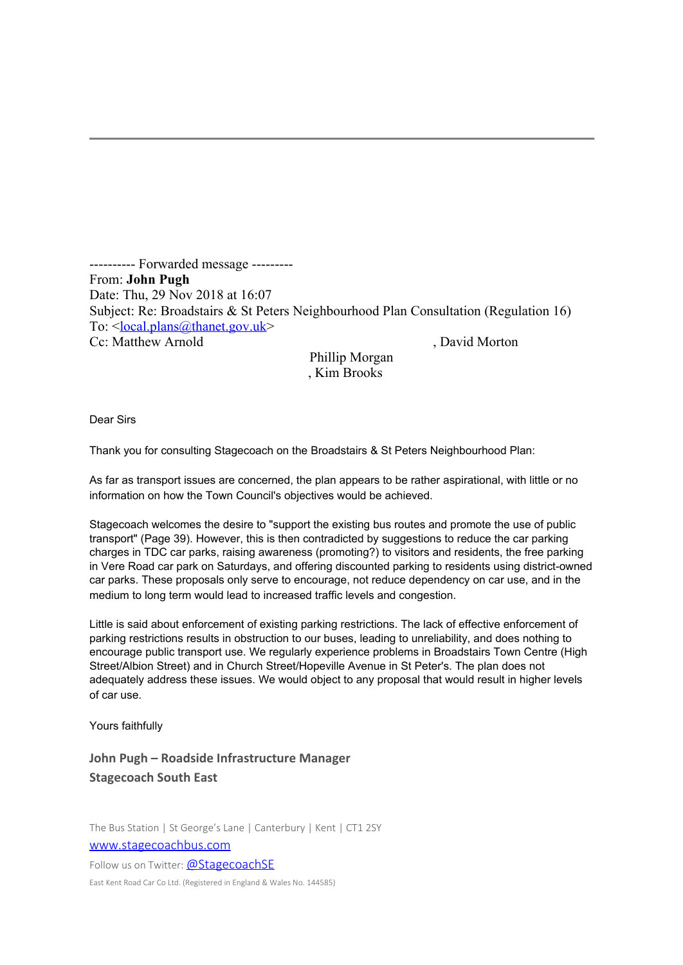---------- Forwarded message --------- From: **John Pugh** Date: Thu, 29 Nov 2018 at 16:07 Subject: Re: Broadstairs & St Peters Neighbourhood Plan Consultation (Regulation 16) To: <local.plans@thanet.gov.uk> Cc: Matthew Arnold , David Morton

 Phillip Morgan , Kim Brooks

Dear Sirs

Thank you for consulting Stagecoach on the Broadstairs & St Peters Neighbourhood Plan:

As far as transport issues are concerned, the plan appears to be rather aspirational, with little or no information on how the Town Council's objectives would be achieved.

Stagecoach welcomes the desire to "support the existing bus routes and promote the use of public transport" (Page 39). However, this is then contradicted by suggestions to reduce the car parking charges in TDC car parks, raising awareness (promoting?) to visitors and residents, the free parking in Vere Road car park on Saturdays, and offering discounted parking to residents using district-owned car parks. These proposals only serve to encourage, not reduce dependency on car use, and in the medium to long term would lead to increased traffic levels and congestion.

Little is said about enforcement of existing parking restrictions. The lack of effective enforcement of parking restrictions results in obstruction to our buses, leading to unreliability, and does nothing to encourage public transport use. We regularly experience problems in Broadstairs Town Centre (High Street/Albion Street) and in Church Street/Hopeville Avenue in St Peter's. The plan does not adequately address these issues. We would object to any proposal that would result in higher levels of car use.

Yours faithfully

**John Pugh – Roadside Infrastructure Manager Stagecoach South East**

The Bus Station | St George's Lane | Canterbury | Kent | CT1 2SY [www.stagecoachbus.com](http://www.stagecoachbus.com/)

Follow us on Twitter: [@StagecoachSE](https://twitter.com/stagecoachse)

East Kent Road Car Co Ltd. (Registered in England & Wales No. 144585)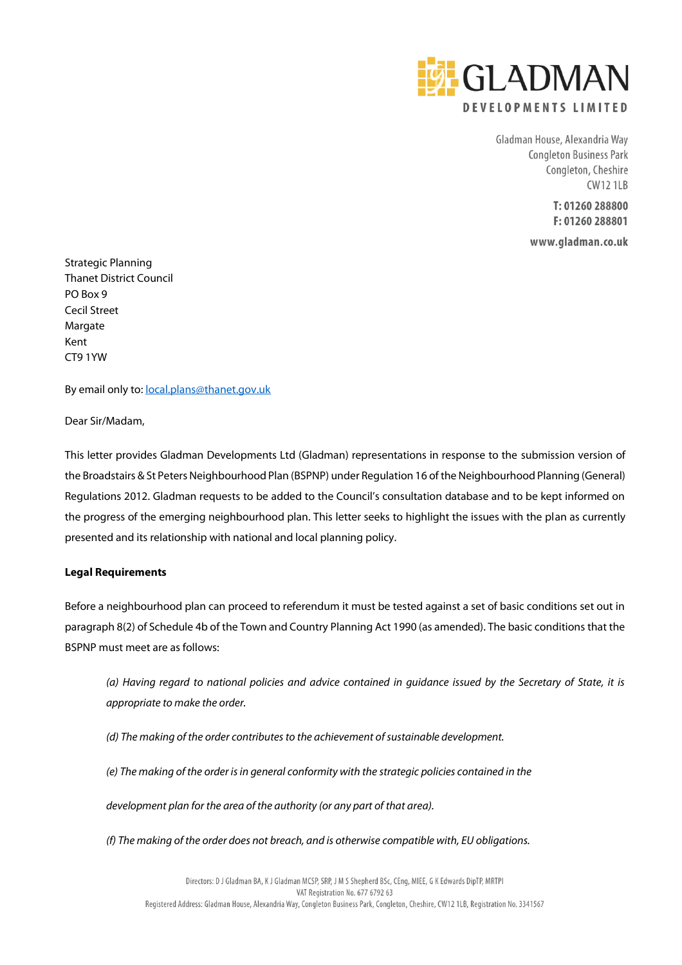

Gladman House, Alexandria Way **Congleton Business Park** Congleton, Cheshire **CW12 1LB** 

> T: 01260 288800 F: 01260 288801

www.gladman.co.uk

Strategic Planning Thanet District Council PO Box 9 Cecil Street Margate Kent CT9 1YW

By email only to: [local.plans@thanet.gov.uk](mailto:local.plans@thanet.gov.uk)

Dear Sir/Madam,

This letter provides Gladman Developments Ltd (Gladman) representations in response to the submission version of the Broadstairs & St Peters Neighbourhood Plan (BSPNP) under Regulation 16 of the Neighbourhood Planning (General) Regulations 2012. Gladman requests to be added to the Council's consultation database and to be kept informed on the progress of the emerging neighbourhood plan. This letter seeks to highlight the issues with the plan as currently presented and its relationship with national and local planning policy.

#### **Legal Requirements**

Before a neighbourhood plan can proceed to referendum it must be tested against a set of basic conditions set out in paragraph 8(2) of Schedule 4b of the Town and Country Planning Act 1990 (as amended). The basic conditions that the BSPNP must meet are as follows:

*(a) Having regard to national policies and advice contained in guidance issued by the Secretary of State, it is appropriate to make the order.*

*(d) The making of the order contributes to the achievement of sustainable development.*

*(e) The making of the order is in general conformity with the strategic policies contained in the*

*development plan for the area of the authority (or any part of that area).*

*(f) The making of the order does not breach, and is otherwise compatible with, EU obligations.*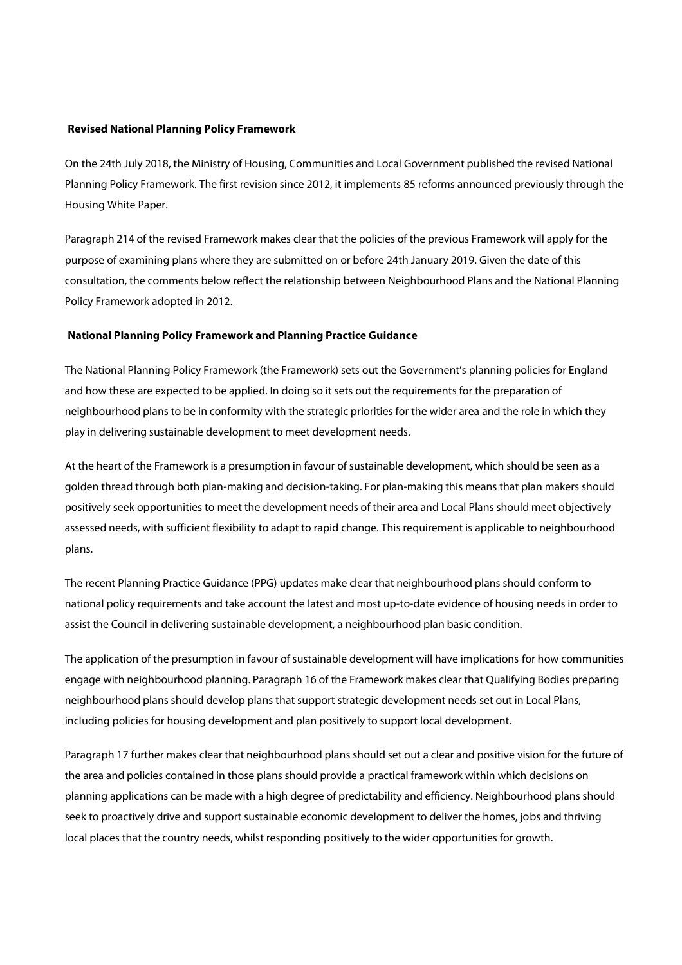#### **Revised National Planning Policy Framework**

On the 24th July 2018, the Ministry of Housing, Communities and Local Government published the revised National Planning Policy Framework. The first revision since 2012, it implements 85 reforms announced previously through the Housing White Paper.

Paragraph 214 of the revised Framework makes clear that the policies of the previous Framework will apply for the purpose of examining plans where they are submitted on or before 24th January 2019. Given the date of this consultation, the comments below reflect the relationship between Neighbourhood Plans and the National Planning Policy Framework adopted in 2012.

#### **National Planning Policy Framework and Planning Practice Guidance**

The National Planning Policy Framework (the Framework) sets out the Government's planning policies for England and how these are expected to be applied. In doing so it sets out the requirements for the preparation of neighbourhood plans to be in conformity with the strategic priorities for the wider area and the role in which they play in delivering sustainable development to meet development needs.

At the heart of the Framework is a presumption in favour of sustainable development, which should be seen as a golden thread through both plan-making and decision-taking. For plan-making this means that plan makers should positively seek opportunities to meet the development needs of their area and Local Plans should meet objectively assessed needs, with sufficient flexibility to adapt to rapid change. This requirement is applicable to neighbourhood plans.

The recent Planning Practice Guidance (PPG) updates make clear that neighbourhood plans should conform to national policy requirements and take account the latest and most up-to-date evidence of housing needs in order to assist the Council in delivering sustainable development, a neighbourhood plan basic condition.

The application of the presumption in favour of sustainable development will have implications for how communities engage with neighbourhood planning. Paragraph 16 of the Framework makes clear that Qualifying Bodies preparing neighbourhood plans should develop plans that support strategic development needs set out in Local Plans, including policies for housing development and plan positively to support local development.

Paragraph 17 further makes clear that neighbourhood plans should set out a clear and positive vision for the future of the area and policies contained in those plans should provide a practical framework within which decisions on planning applications can be made with a high degree of predictability and efficiency. Neighbourhood plans should seek to proactively drive and support sustainable economic development to deliver the homes, jobs and thriving local places that the country needs, whilst responding positively to the wider opportunities for growth.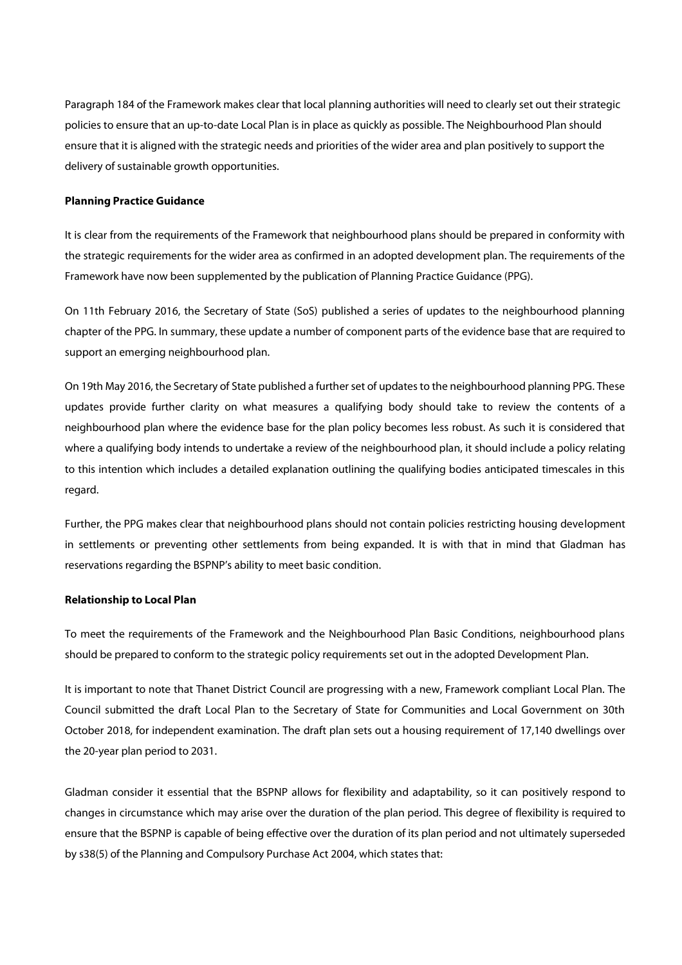Paragraph 184 of the Framework makes clear that local planning authorities will need to clearly set out their strategic policies to ensure that an up-to-date Local Plan is in place as quickly as possible. The Neighbourhood Plan should ensure that it is aligned with the strategic needs and priorities of the wider area and plan positively to support the delivery of sustainable growth opportunities.

#### **Planning Practice Guidance**

It is clear from the requirements of the Framework that neighbourhood plans should be prepared in conformity with the strategic requirements for the wider area as confirmed in an adopted development plan. The requirements of the Framework have now been supplemented by the publication of Planning Practice Guidance (PPG).

On 11th February 2016, the Secretary of State (SoS) published a series of updates to the neighbourhood planning chapter of the PPG. In summary, these update a number of component parts of the evidence base that are required to support an emerging neighbourhood plan.

On 19th May 2016, the Secretary of State published a further set of updates to the neighbourhood planning PPG. These updates provide further clarity on what measures a qualifying body should take to review the contents of a neighbourhood plan where the evidence base for the plan policy becomes less robust. As such it is considered that where a qualifying body intends to undertake a review of the neighbourhood plan, it should include a policy relating to this intention which includes a detailed explanation outlining the qualifying bodies anticipated timescales in this regard.

Further, the PPG makes clear that neighbourhood plans should not contain policies restricting housing development in settlements or preventing other settlements from being expanded. It is with that in mind that Gladman has reservations regarding the BSPNP's ability to meet basic condition.

#### **Relationship to Local Plan**

To meet the requirements of the Framework and the Neighbourhood Plan Basic Conditions, neighbourhood plans should be prepared to conform to the strategic policy requirements set out in the adopted Development Plan.

It is important to note that Thanet District Council are progressing with a new, Framework compliant Local Plan. The Council submitted the draft Local Plan to the Secretary of State for Communities and Local Government on 30th October 2018, for independent examination. The draft plan sets out a housing requirement of 17,140 dwellings over the 20-year plan period to 2031.

Gladman consider it essential that the BSPNP allows for flexibility and adaptability, so it can positively respond to changes in circumstance which may arise over the duration of the plan period. This degree of flexibility is required to ensure that the BSPNP is capable of being effective over the duration of its plan period and not ultimately superseded by s38(5) of the Planning and Compulsory Purchase Act 2004, which states that: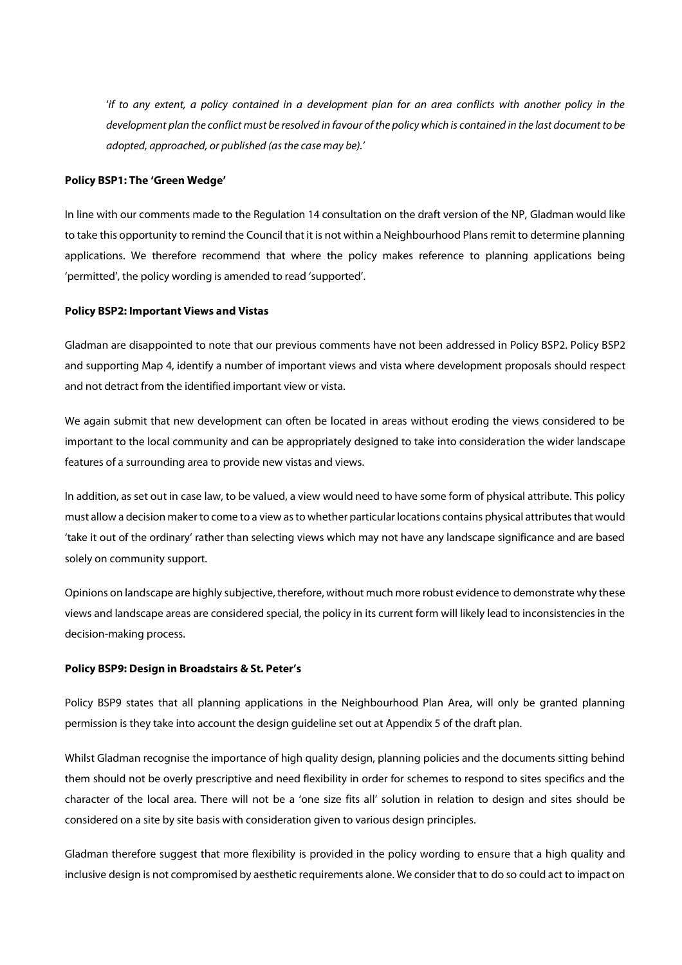'*if to any extent, a policy contained in a development plan for an area conflicts with another policy in the development plan the conflict must be resolved in favour of the policy which is contained in the last document to be adopted, approached, or published (as the case may be).'*

#### **Policy BSP1: The 'Green Wedge'**

In line with our comments made to the Regulation 14 consultation on the draft version of the NP, Gladman would like to take this opportunity to remind the Council that it is not within a Neighbourhood Plans remit to determine planning applications. We therefore recommend that where the policy makes reference to planning applications being 'permitted', the policy wording is amended to read 'supported'.

#### **Policy BSP2: Important Views and Vistas**

Gladman are disappointed to note that our previous comments have not been addressed in Policy BSP2. Policy BSP2 and supporting Map 4, identify a number of important views and vista where development proposals should respect and not detract from the identified important view or vista.

We again submit that new development can often be located in areas without eroding the views considered to be important to the local community and can be appropriately designed to take into consideration the wider landscape features of a surrounding area to provide new vistas and views.

In addition, as set out in case law, to be valued, a view would need to have some form of physical attribute. This policy must allow a decision maker to come to a view as to whether particular locations contains physical attributes that would 'take it out of the ordinary' rather than selecting views which may not have any landscape significance and are based solely on community support.

Opinions on landscape are highly subjective, therefore, without much more robust evidence to demonstrate why these views and landscape areas are considered special, the policy in its current form will likely lead to inconsistencies in the decision-making process.

#### **Policy BSP9: Design in Broadstairs & St. Peter's**

Policy BSP9 states that all planning applications in the Neighbourhood Plan Area, will only be granted planning permission is they take into account the design guideline set out at Appendix 5 of the draft plan.

Whilst Gladman recognise the importance of high quality design, planning policies and the documents sitting behind them should not be overly prescriptive and need flexibility in order for schemes to respond to sites specifics and the character of the local area. There will not be a 'one size fits all' solution in relation to design and sites should be considered on a site by site basis with consideration given to various design principles.

Gladman therefore suggest that more flexibility is provided in the policy wording to ensure that a high quality and inclusive design is not compromised by aesthetic requirements alone. We consider that to do so could act to impact on